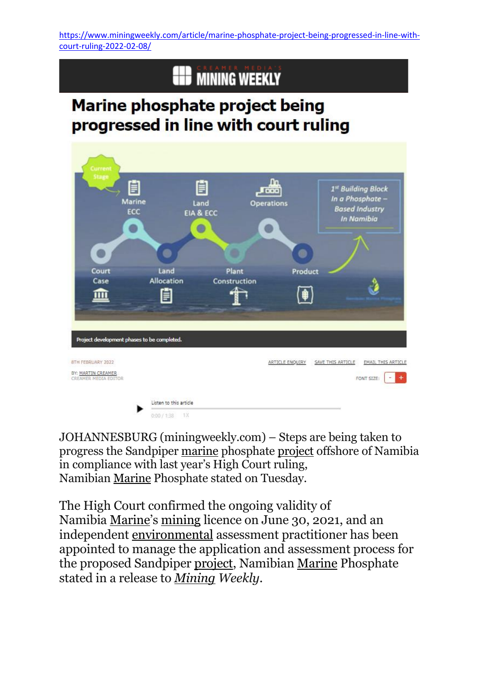[https://www.miningweekly.com/article/marine-phosphate-project-being-progressed-in-line-with](https://www.miningweekly.com/article/marine-phosphate-project-being-progressed-in-line-with-court-ruling-2022-02-08/)[court-ruling-2022-02-08/](https://www.miningweekly.com/article/marine-phosphate-project-being-progressed-in-line-with-court-ruling-2022-02-08/)

## **EED MINING WEEKLY**

## Marine phosphate project being progressed in line with court ruling



JOHANNESBURG (miningweekly.com) – Steps are being taken to progress the Sandpiper [marine](https://www.miningweekly.com/topic/marine) phosphate [project](https://www.miningweekly.com/topic/project) offshore of Namibia in compliance with last year's High Court ruling, Namibian [Marine](https://www.miningweekly.com/topic/marine) Phosphate stated on Tuesday.

The High Court confirmed the ongoing validity of Namibia [Marine](https://www.miningweekly.com/topic/marine)'s [mining](https://www.miningweekly.com/topic/mining) licence on June 30, 2021, and an independent [environmental](https://www.miningweekly.com/topic/environmental) assessment practitioner has been appointed to manage the application and assessment process for the proposed Sandpiper [project,](https://www.miningweekly.com/topic/project) Namibian [Marine](https://www.miningweekly.com/topic/marine) Phosphate stated in a release to *[Mining](https://www.miningweekly.com/topic/mining) Weekly*.